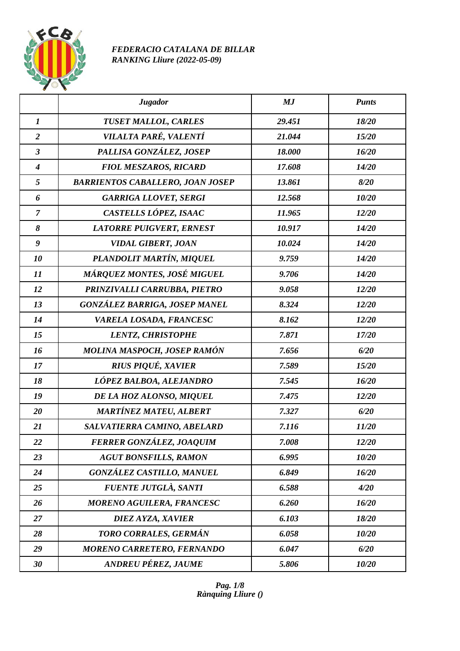

## *FEDERACIO CATALANA DE BILLAR RANKING Lliure (2022-05-09)*

|                            | <b>Jugador</b>                          | MJ     | <b>Punts</b> |
|----------------------------|-----------------------------------------|--------|--------------|
| $\boldsymbol{I}$           | TUSET MALLOL, CARLES                    | 29.451 | 18/20        |
| $\overline{2}$             | VILALTA PARÉ, VALENTÍ                   | 21.044 | 15/20        |
| $\mathfrak{z}$             | PALLISA GONZÁLEZ, JOSEP                 | 18.000 | 16/20        |
| $\boldsymbol{4}$           | <b>FIOL MESZAROS, RICARD</b>            | 17.608 | 14/20        |
| 5                          | <b>BARRIENTOS CABALLERO, JOAN JOSEP</b> | 13.861 | 8/20         |
| 6                          | <b>GARRIGA LLOVET, SERGI</b>            | 12.568 | 10/20        |
| $\overline{7}$             | CASTELLS LÓPEZ, ISAAC                   | 11.965 | 12/20        |
| 8                          | <b>LATORRE PUIGVERT, ERNEST</b>         | 10.917 | 14/20        |
| $\boldsymbol{g}$           | <b>VIDAL GIBERT, JOAN</b>               | 10.024 | 14/20        |
| 10                         | PLANDOLIT MARTÍN, MIQUEL                | 9.759  | 14/20        |
| $\boldsymbol{\mathit{11}}$ | MÁRQUEZ MONTES, JOSÉ MIGUEL             | 9.706  | 14/20        |
| 12                         | PRINZIVALLI CARRUBBA, PIETRO            | 9.058  | 12/20        |
| 13                         | <b>GONZÁLEZ BARRIGA, JOSEP MANEL</b>    | 8.324  | 12/20        |
| 14                         | VARELA LOSADA, FRANCESC                 | 8.162  | 12/20        |
| 15                         | <b>LENTZ, CHRISTOPHE</b>                | 7.871  | 17/20        |
| 16                         | MOLINA MASPOCH, JOSEP RAMÓN             | 7.656  | 6/20         |
| 17                         | <b>RIUS PIQUÉ, XAVIER</b>               | 7.589  | 15/20        |
| 18                         | LÓPEZ BALBOA, ALEJANDRO                 | 7.545  | 16/20        |
| 19                         | DE LA HOZ ALONSO, MIQUEL                | 7.475  | 12/20        |
| 20                         | <b>MARTÍNEZ MATEU, ALBERT</b>           | 7.327  | 6/20         |
| 21                         | SALVATIERRA CAMINO, ABELARD             | 7.116  | 11/20        |
| 22                         | FERRER GONZÁLEZ, JOAQUIM                | 7.008  | 12/20        |
| 23                         | <b>AGUT BONSFILLS, RAMON</b>            | 6.995  | 10/20        |
| 24                         | <b>GONZÁLEZ CASTILLO, MANUEL</b>        | 6.849  | 16/20        |
| 25                         | <b>FUENTE JUTGLÀ, SANTI</b>             | 6.588  | 4/20         |
| 26                         | <b>MORENO AGUILERA, FRANCESC</b>        | 6.260  | 16/20        |
| 27                         | DIEZ AYZA, XAVIER                       | 6.103  | 18/20        |
| 28                         | TORO CORRALES, GERMÁN                   | 6.058  | 10/20        |
| 29                         | MORENO CARRETERO, FERNANDO              | 6.047  | 6/20         |
| 30                         | <b>ANDREU PÉREZ, JAUME</b>              | 5.806  | 10/20        |

*Pag. 1/8 Rànquing Lliure ()*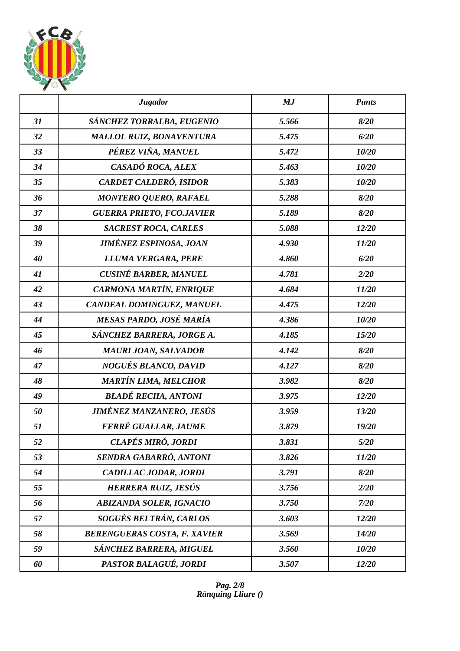

|    | <b>Jugador</b>                      | MJ    | <b>Punts</b> |
|----|-------------------------------------|-------|--------------|
| 31 | SÁNCHEZ TORRALBA, EUGENIO           | 5.566 | 8/20         |
| 32 | <b>MALLOL RUIZ, BONAVENTURA</b>     | 5.475 | 6/20         |
| 33 | PÉREZ VIÑA, MANUEL                  | 5.472 | 10/20        |
| 34 | CASADÓ ROCA, ALEX                   | 5.463 | 10/20        |
| 35 | CARDET CALDERÓ, ISIDOR              | 5.383 | 10/20        |
| 36 | <b>MONTERO QUERO, RAFAEL</b>        | 5.288 | 8/20         |
| 37 | <b>GUERRA PRIETO, FCO.JAVIER</b>    | 5.189 | 8/20         |
| 38 | <b>SACREST ROCA, CARLES</b>         | 5.088 | 12/20        |
| 39 | <b>JIMÉNEZ ESPINOSA, JOAN</b>       | 4.930 | 11/20        |
| 40 | LLUMA VERGARA, PERE                 | 4.860 | 6/20         |
| 41 | <b>CUSINÉ BARBER, MANUEL</b>        | 4.781 | 2/20         |
| 42 | CARMONA MARTÍN, ENRIQUE             | 4.684 | 11/20        |
| 43 | CANDEAL DOMINGUEZ, MANUEL           | 4.475 | 12/20        |
| 44 | MESAS PARDO, JOSÉ MARÍA             | 4.386 | 10/20        |
| 45 | SÁNCHEZ BARRERA, JORGE A.           | 4.185 | 15/20        |
| 46 | <b>MAURI JOAN, SALVADOR</b>         | 4.142 | 8/20         |
| 47 | NOGUÉS BLANCO, DAVID                | 4.127 | 8/20         |
| 48 | <b>MARTÍN LIMA, MELCHOR</b>         | 3.982 | 8/20         |
| 49 | <b>BLADÉ RECHA, ANTONI</b>          | 3.975 | 12/20        |
| 50 | JIMÉNEZ MANZANERO, JESÚS            | 3.959 | 13/20        |
| 51 | FERRÉ GUALLAR, JAUME                | 3.879 | 19/20        |
| 52 | CLAPÉS MIRÓ, JORDI                  | 3.831 | 5/20         |
| 53 | SENDRA GABARRÓ, ANTONI              | 3.826 | 11/20        |
| 54 | CADILLAC JODAR, JORDI               | 3.791 | 8/20         |
| 55 | HERRERA RUIZ, JESÚS                 | 3.756 | 2/20         |
| 56 | <b>ABIZANDA SOLER, IGNACIO</b>      | 3.750 | 7/20         |
| 57 | SOGUÉS BELTRÁN, CARLOS              | 3.603 | 12/20        |
| 58 | <b>BERENGUERAS COSTA, F. XAVIER</b> | 3.569 | 14/20        |
| 59 | SÁNCHEZ BARRERA, MIGUEL             | 3.560 | 10/20        |
| 60 | PASTOR BALAGUÉ, JORDI               | 3.507 | 12/20        |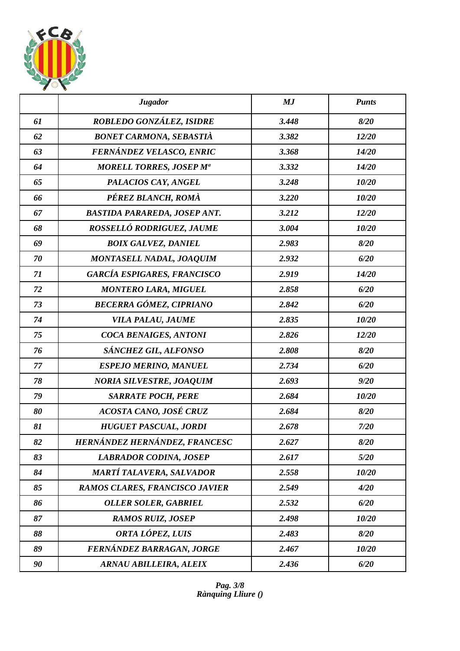

|    | <b>Jugador</b>                      | MJ    | <b>Punts</b> |
|----|-------------------------------------|-------|--------------|
| 61 | ROBLEDO GONZÁLEZ, ISIDRE            | 3.448 | 8/20         |
| 62 | <b>BONET CARMONA, SEBASTIÀ</b>      | 3.382 | 12/20        |
| 63 | FERNÁNDEZ VELASCO, ENRIC            | 3.368 | 14/20        |
| 64 | <b>MORELL TORRES, JOSEP Ma</b>      | 3.332 | 14/20        |
| 65 | PALACIOS CAY, ANGEL                 | 3.248 | 10/20        |
| 66 | PÉREZ BLANCH, ROMÀ                  | 3.220 | 10/20        |
| 67 | <b>BASTIDA PARAREDA, JOSEP ANT.</b> | 3.212 | 12/20        |
| 68 | ROSSELLÓ RODRIGUEZ, JAUME           | 3.004 | 10/20        |
| 69 | <b>BOIX GALVEZ, DANIEL</b>          | 2.983 | 8/20         |
| 70 | <b>MONTASELL NADAL, JOAQUIM</b>     | 2.932 | 6/20         |
| 71 | <b>GARCÍA ESPIGARES, FRANCISCO</b>  | 2.919 | 14/20        |
| 72 | <b>MONTERO LARA, MIGUEL</b>         | 2.858 | 6/20         |
| 73 | BECERRA GÓMEZ, CIPRIANO             | 2.842 | 6/20         |
| 74 | VILA PALAU, JAUME                   | 2.835 | 10/20        |
| 75 | <b>COCA BENAIGES, ANTONI</b>        | 2.826 | 12/20        |
| 76 | SÁNCHEZ GIL, ALFONSO                | 2.808 | 8/20         |
| 77 | <b>ESPEJO MERINO, MANUEL</b>        | 2.734 | 6/20         |
| 78 | <b>NORIA SILVESTRE, JOAQUIM</b>     | 2.693 | 9/20         |
| 79 | <b>SARRATE POCH, PERE</b>           | 2.684 | 10/20        |
| 80 | ACOSTA CANO, JOSÉ CRUZ              | 2.684 | 8/20         |
| 81 | HUGUET PASCUAL, JORDI               | 2.678 | 7/20         |
| 82 | HERNÁNDEZ HERNÁNDEZ, FRANCESC       | 2.627 | 8/20         |
| 83 | <b>LABRADOR CODINA, JOSEP</b>       | 2.617 | 5/20         |
| 84 | <b>MARTÍ TALAVERA, SALVADOR</b>     | 2.558 | 10/20        |
| 85 | RAMOS CLARES, FRANCISCO JAVIER      | 2.549 | 4/20         |
| 86 | <b>OLLER SOLER, GABRIEL</b>         | 2.532 | 6/20         |
| 87 | <b>RAMOS RUIZ, JOSEP</b>            | 2.498 | 10/20        |
| 88 | ORTA LÓPEZ, LUIS                    | 2.483 | 8/20         |
| 89 | FERNÁNDEZ BARRAGAN, JORGE           | 2.467 | 10/20        |
| 90 | <b>ARNAU ABILLEIRA, ALEIX</b>       | 2.436 | 6/20         |

*Pag. 3/8 Rànquing Lliure ()*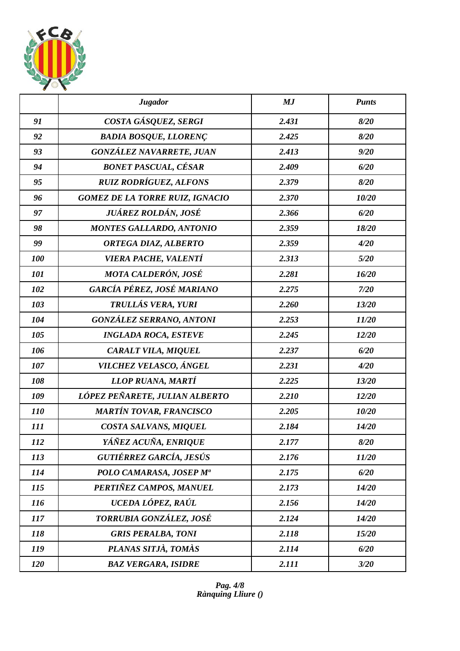

|            | <b>Jugador</b>                         | MJ    | <b>Punts</b> |
|------------|----------------------------------------|-------|--------------|
| 91         | COSTA GÁSQUEZ, SERGI                   | 2.431 | 8/20         |
| 92         | <b>BADIA BOSQUE, LLORENÇ</b>           | 2.425 | 8/20         |
| 93         | GONZÁLEZ NAVARRETE, JUAN               | 2.413 | 9/20         |
| 94         | <b>BONET PASCUAL, CÉSAR</b>            | 2.409 | 6/20         |
| 95         | <b>RUIZ RODRÍGUEZ, ALFONS</b>          | 2.379 | 8/20         |
| 96         | <b>GOMEZ DE LA TORRE RUIZ, IGNACIO</b> | 2.370 | 10/20        |
| 97         | JUÁREZ ROLDÁN, JOSÉ                    | 2.366 | 6/20         |
| 98         | <b>MONTES GALLARDO, ANTONIO</b>        | 2.359 | 18/20        |
| 99         | ORTEGA DIAZ, ALBERTO                   | 2.359 | 4/20         |
| 100        | VIERA PACHE, VALENTÍ                   | 2.313 | 5/20         |
| 101        | <b>MOTA CALDERÓN, JOSÉ</b>             | 2.281 | 16/20        |
| 102        | GARCÍA PÉREZ, JOSÉ MARIANO             | 2.275 | 7/20         |
| 103        | TRULLÁS VERA, YURI                     | 2.260 | 13/20        |
| 104        | <b>GONZÁLEZ SERRANO, ANTONI</b>        | 2.253 | 11/20        |
| 105        | <b>INGLADA ROCA, ESTEVE</b>            | 2.245 | 12/20        |
| 106        | CARALT VILA, MIQUEL                    | 2.237 | 6/20         |
| 107        | VILCHEZ VELASCO, ÁNGEL                 | 2.231 | 4/20         |
| 108        | LLOP RUANA, MARTÍ                      | 2.225 | 13/20        |
| 109        | LÓPEZ PEÑARETE, JULIAN ALBERTO         | 2.210 | 12/20        |
| <i>110</i> | MARTÍN TOVAR, FRANCISCO                | 2.205 | 10/20        |
| 111        | COSTA SALVANS, MIQUEL                  | 2.184 | 14/20        |
| 112        | YÁÑEZ ACUÑA, ENRIQUE                   | 2.177 | 8/20         |
| 113        | GUTIÉRREZ GARCÍA, JESÚS                | 2.176 | 11/20        |
| 114        | POLO CAMARASA, JOSEP Mª                | 2.175 | 6/20         |
| <i>115</i> | PERTIÑEZ CAMPOS, MANUEL                | 2.173 | 14/20        |
| <i>116</i> | UCEDA LÓPEZ, RAÚL                      | 2.156 | 14/20        |
| 117        | TORRUBIA GONZÁLEZ, JOSÉ                | 2.124 | 14/20        |
| 118        | <b>GRIS PERALBA, TONI</b>              | 2.118 | 15/20        |
| 119        | PLANAS SITJÀ, TOMÀS                    | 2.114 | 6/20         |
| 120        | <b>BAZ VERGARA, ISIDRE</b>             | 2.111 | 3/20         |

*Pag. 4/8 Rànquing Lliure ()*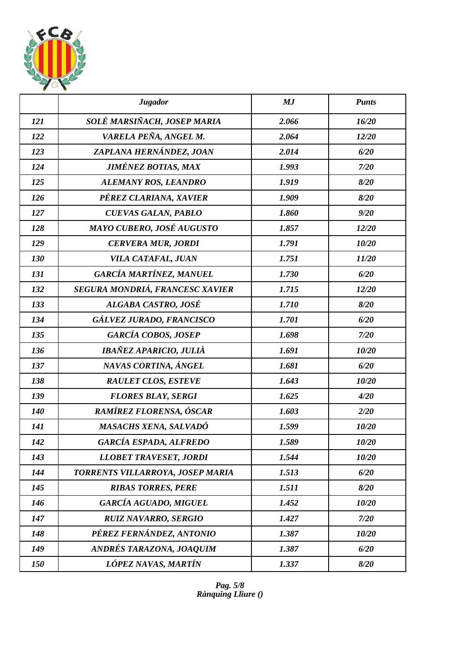

|            | <b>Jugador</b>                   | MJ    | <b>Punts</b> |
|------------|----------------------------------|-------|--------------|
| 121        | SOLÉ MARSIÑACH, JOSEP MARIA      | 2.066 | 16/20        |
| 122        | VARELA PEÑA, ANGEL M.            | 2.064 | 12/20        |
| 123        | ZAPLANA HERNÁNDEZ, JOAN          | 2.014 | 6/20         |
| 124        | <b>JIMÉNEZ BOTIAS, MAX</b>       | 1.993 | 7/20         |
| 125        | ALEMANY ROS, LEANDRO             | 1.919 | 8/20         |
| 126        | PÉREZ CLARIANA, XAVIER           | 1.909 | 8/20         |
| 127        | <b>CUEVAS GALAN, PABLO</b>       | 1.860 | 9/20         |
| 128        | MAYO CUBERO, JOSÉ AUGUSTO        | 1.857 | 12/20        |
| 129        | <b>CERVERA MUR, JORDI</b>        | 1.791 | 10/20        |
| 130        | VILA CATAFAL, JUAN               | 1.751 | 11/20        |
| 131        | <b>GARCÍA MARTÍNEZ, MANUEL</b>   | 1.730 | 6/20         |
| 132        | SEGURA MONDRIÁ, FRANCESC XAVIER  | 1.715 | 12/20        |
| 133        | <b>ALGABA CASTRO, JOSÉ</b>       | 1.710 | 8/20         |
| 134        | GÁLVEZ JURADO, FRANCISCO         | 1.701 | 6/20         |
| 135        | <b>GARCÍA COBOS, JOSEP</b>       | 1.698 | 7/20         |
| 136        | IBAÑEZ APARICIO, JULIÀ           | 1.691 | 10/20        |
| 137        | NAVAS CORTINA, ÁNGEL             | 1.681 | 6/20         |
| 138        | <b>RAULET CLOS, ESTEVE</b>       | 1.643 | 10/20        |
| 139        | <b>FLORES BLAY, SERGI</b>        | 1.625 | 4/20         |
| <b>140</b> | RAMÍREZ FLORENSA, ÓSCAR          | 1.603 | 2/20         |
| 141        | MASACHS XENA, SALVADÓ            | 1.599 | 10/20        |
| 142        | <b>GARCÍA ESPADA, ALFREDO</b>    | 1.589 | 10/20        |
| 143        | <b>LLOBET TRAVESET, JORDI</b>    | 1.544 | 10/20        |
| 144        | TORRENTS VILLARROYA, JOSEP MARIA | 1.513 | 6/20         |
| 145        | <b>RIBAS TORRES, PERE</b>        | 1.511 | 8/20         |
| 146        | <b>GARCÍA AGUADO, MIGUEL</b>     | 1.452 | 10/20        |
| 147        | <b>RUIZ NAVARRO, SERGIO</b>      | 1.427 | 7/20         |
| 148        | PÉREZ FERNÁNDEZ, ANTONIO         | 1.387 | 10/20        |
| 149        | ANDRÉS TARAZONA, JOAQUIM         | 1.387 | 6/20         |
| 150        | LÓPEZ NAVAS, MARTÍN              | 1.337 | 8/20         |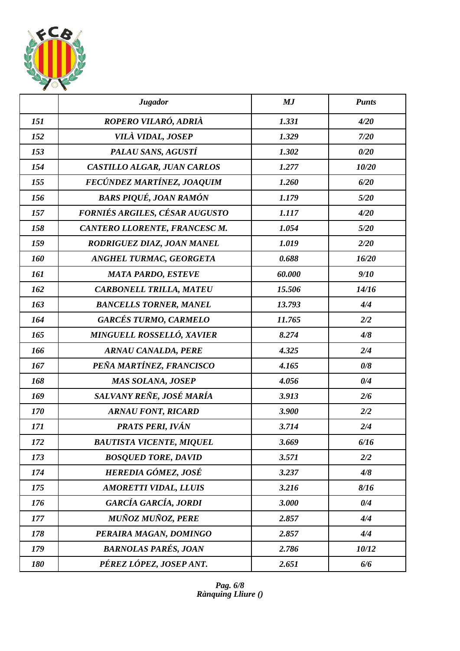

|     | <b>Jugador</b>                   | MJ     | <b>Punts</b> |
|-----|----------------------------------|--------|--------------|
| 151 | ROPERO VILARÓ, ADRIÀ             | 1.331  | 4/20         |
| 152 | VILÀ VIDAL, JOSEP                | 1.329  | 7/20         |
| 153 | PALAU SANS, AGUSTÍ               | 1.302  | 0/20         |
| 154 | CASTILLO ALGAR, JUAN CARLOS      | 1.277  | 10/20        |
| 155 | FECÚNDEZ MARTÍNEZ, JOAQUIM       | 1.260  | 6/20         |
| 156 | <b>BARS PIQUÉ, JOAN RAMÓN</b>    | 1.179  | 5/20         |
| 157 | FORNIÉS ARGILES, CÉSAR AUGUSTO   | 1.117  | 4/20         |
| 158 | CANTERO LLORENTE, FRANCESC M.    | 1.054  | 5/20         |
| 159 | RODRIGUEZ DIAZ, JOAN MANEL       | 1.019  | 2/20         |
| 160 | ANGHEL TURMAC, GEORGETA          | 0.688  | 16/20        |
| 161 | <b>MATA PARDO, ESTEVE</b>        | 60.000 | 9/10         |
| 162 | <b>CARBONELL TRILLA, MATEU</b>   | 15.506 | 14/16        |
| 163 | <b>BANCELLS TORNER, MANEL</b>    | 13.793 | 4/4          |
| 164 | <b>GARCÉS TURMO, CARMELO</b>     | 11.765 | 2/2          |
| 165 | <b>MINGUELL ROSSELLÓ, XAVIER</b> | 8.274  | 4/8          |
| 166 | <b>ARNAU CANALDA, PERE</b>       | 4.325  | 2/4          |
| 167 | PEÑA MARTÍNEZ, FRANCISCO         | 4.165  | 0/8          |
| 168 | MAS SOLANA, JOSEP                | 4.056  | 0/4          |
| 169 | SALVANY REÑE, JOSÉ MARÍA         | 3.913  | 2/6          |
| 170 | <b>ARNAU FONT, RICARD</b>        | 3.900  | 2/2          |
| 171 | PRATS PERI, IVÁN                 | 3.714  | 2/4          |
| 172 | <b>BAUTISTA VICENTE, MIQUEL</b>  | 3.669  | 6/16         |
| 173 | <b>BOSQUED TORE, DAVID</b>       | 3.571  | 2/2          |
| 174 | HEREDIA GÓMEZ, JOSÉ              | 3.237  | 4/8          |
| 175 | <b>AMORETTI VIDAL, LLUIS</b>     | 3.216  | 8/16         |
| 176 | GARCÍA GARCÍA, JORDI             | 3.000  | 0/4          |
| 177 | <b>MUÑOZ MUÑOZ, PERE</b>         | 2.857  | 4/4          |
| 178 | PERAIRA MAGAN, DOMINGO           | 2.857  | 4/4          |
| 179 | <b>BARNOLAS PARÉS, JOAN</b>      | 2.786  | 10/12        |
| 180 | PÉREZ LÓPEZ, JOSEP ANT.          | 2.651  | 6/6          |

*Pag. 6/8 Rànquing Lliure ()*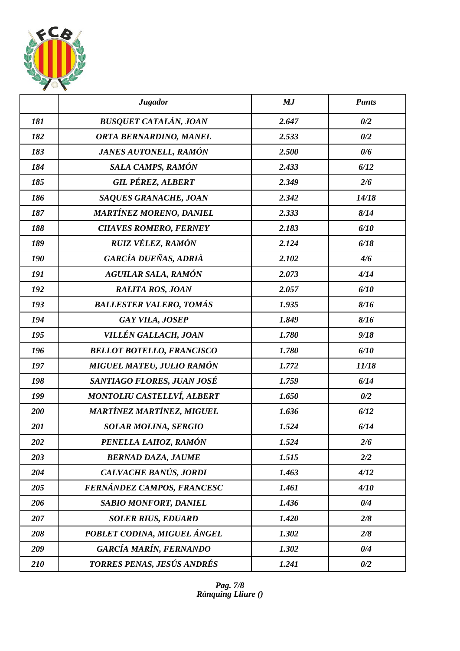

|     | <b>Jugador</b>                    | MJ    | <b>Punts</b> |
|-----|-----------------------------------|-------|--------------|
| 181 | <b>BUSQUET CATALÁN, JOAN</b>      | 2.647 | 0/2          |
| 182 | <b>ORTA BERNARDINO, MANEL</b>     | 2.533 | 0/2          |
| 183 | JANES AUTONELL, RAMÓN             | 2.500 | 0/6          |
| 184 | SALA CAMPS, RAMÓN                 | 2.433 | 6/12         |
| 185 | <b>GIL PÉREZ, ALBERT</b>          | 2.349 | 2/6          |
| 186 | <b>SAQUES GRANACHE, JOAN</b>      | 2.342 | 14/18        |
| 187 | <b>MARTÍNEZ MORENO, DANIEL</b>    | 2.333 | 8/14         |
| 188 | <b>CHAVES ROMERO, FERNEY</b>      | 2.183 | 6/10         |
| 189 | RUIZ VÉLEZ, RAMÓN                 | 2.124 | 6/18         |
| 190 | GARCÍA DUEÑAS, ADRIÀ              | 2.102 | 4/6          |
| 191 | <b>AGUILAR SALA, RAMÓN</b>        | 2.073 | 4/14         |
| 192 | <b>RALITA ROS, JOAN</b>           | 2.057 | 6/10         |
| 193 | <b>BALLESTER VALERO, TOMÁS</b>    | 1.935 | 8/16         |
| 194 | <b>GAY VILA, JOSEP</b>            | 1.849 | 8/16         |
| 195 | VILLÉN GALLACH, JOAN              | 1.780 | 9/18         |
| 196 | <b>BELLOT BOTELLO, FRANCISCO</b>  | 1.780 | 6/10         |
| 197 | MIGUEL MATEU, JULIO RAMÓN         | 1.772 | 11/18        |
| 198 | SANTIAGO FLORES, JUAN JOSÉ        | 1.759 | 6/14         |
| 199 | <b>MONTOLIU CASTELLVÍ, ALBERT</b> | 1.650 | 0/2          |
| 200 | <b>MARTÍNEZ MARTÍNEZ, MIGUEL</b>  | 1.636 | 6/12         |
| 201 | <b>SOLAR MOLINA, SERGIO</b>       | 1.524 | 6/14         |
| 202 | PENELLA LAHOZ, RAMÓN              | 1.524 | 2/6          |
| 203 | <b>BERNAD DAZA, JAUME</b>         | 1.515 | 2/2          |
| 204 | CALVACHE BANÚS, JORDI             | 1.463 | 4/12         |
| 205 | FERNÁNDEZ CAMPOS, FRANCESC        | 1.461 | 4/10         |
| 206 | <b>SABIO MONFORT, DANIEL</b>      | 1.436 | 0/4          |
| 207 | <b>SOLER RIUS, EDUARD</b>         | 1.420 | 2/8          |
| 208 | POBLET CODINA, MIGUEL ÁNGEL       | 1.302 | 2/8          |
| 209 | <b>GARCÍA MARÍN, FERNANDO</b>     | 1.302 | 0/4          |
| 210 | TORRES PENAS, JESÚS ANDRÉS        | 1.241 | 0/2          |